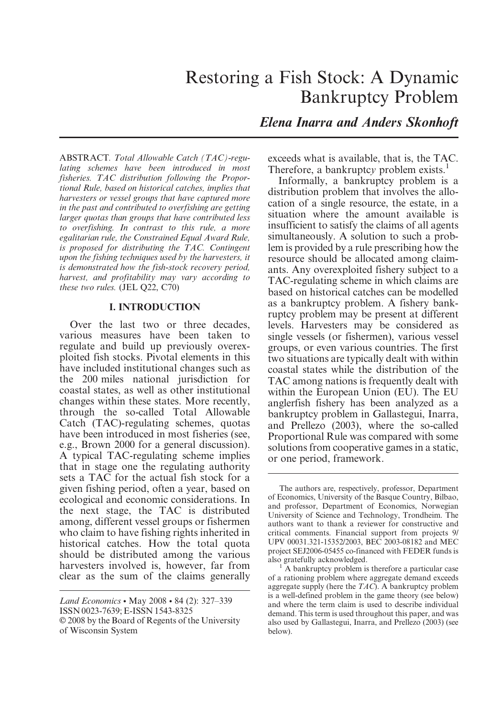ABSTRACT. Total Allowable Catch (TAC)-regulating schemes have been introduced in most fisheries. TAC distribution following the Proportional Rule, based on historical catches, implies that harvesters or vessel groups that have captured more in the past and contributed to overfishing are getting larger quotas than groups that have contributed less to overfishing. In contrast to this rule, a more egalitarian rule, the Constrained Equal Award Rule, is proposed for distributing the TAC. Contingent upon the fishing techniques used by the harvesters, it is demonstrated how the fish-stock recovery period, harvest, and profitability may vary according to these two rules. (JEL Q22, C70)

#### I. INTRODUCTION

Over the last two or three decades, various measures have been taken to regulate and build up previously overexploited fish stocks. Pivotal elements in this have included institutional changes such as the 200 miles national jurisdiction for coastal states, as well as other institutional changes within these states. More recently, through the so-called Total Allowable Catch (TAC)-regulating schemes, quotas have been introduced in most fisheries (see, e.g., Brown 2000 for a general discussion). A typical TAC-regulating scheme implies that in stage one the regulating authority sets a TAC for the actual fish stock for a given fishing period, often a year, based on ecological and economic considerations. In the next stage, the TAC is distributed among, different vessel groups or fishermen who claim to have fishing rights inherited in historical catches. How the total quota should be distributed among the various harvesters involved is, however, far from clear as the sum of the claims generally Elena Inarra and Anders Skonhoft

exceeds what is available, that is, the TAC. Therefore, a bankruptcy problem exists.<sup>1</sup>

Informally, a bankruptcy problem is a distribution problem that involves the allocation of a single resource, the estate, in a situation where the amount available is insufficient to satisfy the claims of all agents simultaneously. A solution to such a problem is provided by a rule prescribing how the resource should be allocated among claimants. Any overexploited fishery subject to a TAC-regulating scheme in which claims are based on historical catches can be modelled as a bankruptcy problem. A fishery bankruptcy problem may be present at different levels. Harvesters may be considered as single vessels (or fishermen), various vessel groups, or even various countries. The first two situations are typically dealt with within coastal states while the distribution of the TAC among nations is frequently dealt with within the European Union (EU). The EU anglerfish fishery has been analyzed as a bankruptcy problem in Gallastegui, Inarra, and Prellezo (2003), where the so-called Proportional Rule was compared with some solutions from cooperative games in a static, or one period, framework.

Land Economics • May 2008 • 84 (2): 327-339 ISSN 0023-7639; E-ISSN 1543-8325 E 2008 by the Board of Regents of the University of Wisconsin System

The authors are, respectively, professor, Department of Economics, University of the Basque Country, Bilbao, and professor, Department of Economics, Norwegian University of Science and Technology, Trondheim. The authors want to thank a reviewer for constructive and critical comments. Financial support from projects 9/ UPV 00031.321-15352/2003, BEC 2003-08182 and MEC project SEJ2006-05455 co-financed with FEDER funds is also gratefully acknowledged.

 $\frac{1}{2}$  A bankruptcy problem is therefore a particular case of a rationing problem where aggregate demand exceeds aggregate supply (here the  $TAC$ ). A bankruptcy problem is a well-defined problem in the game theory (see below) and where the term claim is used to describe individual demand. This term is used throughout this paper, and was also used by Gallastegui, Inarra, and Prellezo (2003) (see below).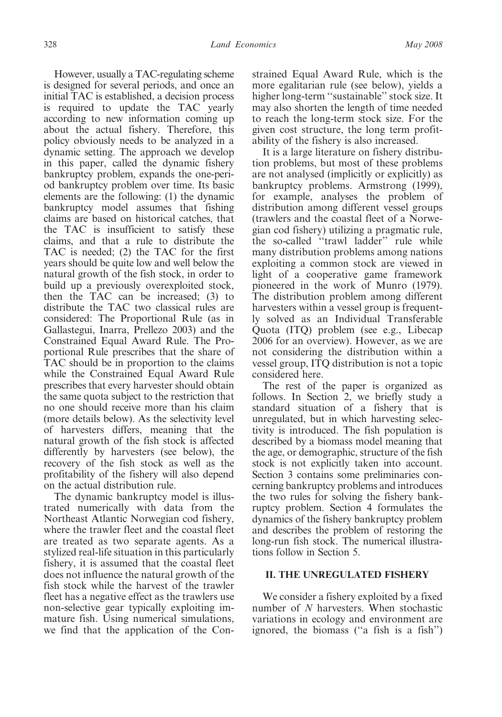However, usually a TAC-regulating scheme is designed for several periods, and once an initial TAC is established, a decision process is required to update the TAC yearly according to new information coming up about the actual fishery. Therefore, this policy obviously needs to be analyzed in a dynamic setting. The approach we develop in this paper, called the dynamic fishery bankruptcy problem, expands the one-period bankruptcy problem over time. Its basic elements are the following: (1) the dynamic bankruptcy model assumes that fishing claims are based on historical catches, that the TAC is insufficient to satisfy these claims, and that a rule to distribute the TAC is needed; (2) the TAC for the first years should be quite low and well below the natural growth of the fish stock, in order to build up a previously overexploited stock, then the TAC can be increased; (3) to distribute the TAC two classical rules are considered: The Proportional Rule (as in Gallastegui, Inarra, Prellezo 2003) and the Constrained Equal Award Rule. The Proportional Rule prescribes that the share of TAC should be in proportion to the claims while the Constrained Equal Award Rule prescribes that every harvester should obtain the same quota subject to the restriction that no one should receive more than his claim (more details below). As the selectivity level of harvesters differs, meaning that the natural growth of the fish stock is affected differently by harvesters (see below), the recovery of the fish stock as well as the profitability of the fishery will also depend on the actual distribution rule.

The dynamic bankruptcy model is illustrated numerically with data from the Northeast Atlantic Norwegian cod fishery, where the trawler fleet and the coastal fleet are treated as two separate agents. As a stylized real-life situation in this particularly fishery, it is assumed that the coastal fleet does not influence the natural growth of the fish stock while the harvest of the trawler fleet has a negative effect as the trawlers use non-selective gear typically exploiting immature fish. Using numerical simulations, we find that the application of the Constrained Equal Award Rule, which is the more egalitarian rule (see below), yields a higher long-term ''sustainable'' stock size. It may also shorten the length of time needed to reach the long-term stock size. For the given cost structure, the long term profitability of the fishery is also increased.

It is a large literature on fishery distribution problems, but most of these problems are not analysed (implicitly or explicitly) as bankruptcy problems. Armstrong (1999), for example, analyses the problem of distribution among different vessel groups (trawlers and the coastal fleet of a Norwegian cod fishery) utilizing a pragmatic rule, the so-called ''trawl ladder'' rule while many distribution problems among nations exploiting a common stock are viewed in light of a cooperative game framework pioneered in the work of Munro (1979). The distribution problem among different harvesters within a vessel group is frequently solved as an Individual Transferable Quota (ITQ) problem (see e.g., Libecap 2006 for an overview). However, as we are not considering the distribution within a vessel group, ITQ distribution is not a topic considered here.

The rest of the paper is organized as follows. In Section 2, we briefly study a standard situation of a fishery that is unregulated, but in which harvesting selectivity is introduced. The fish population is described by a biomass model meaning that the age, or demographic, structure of the fish stock is not explicitly taken into account. Section 3 contains some preliminaries concerning bankruptcy problems and introduces the two rules for solving the fishery bankruptcy problem. Section 4 formulates the dynamics of the fishery bankruptcy problem and describes the problem of restoring the long-run fish stock. The numerical illustrations follow in Section 5.

#### II. THE UNREGULATED FISHERY

We consider a fishery exploited by a fixed number of N harvesters. When stochastic variations in ecology and environment are ignored, the biomass (''a fish is a fish'')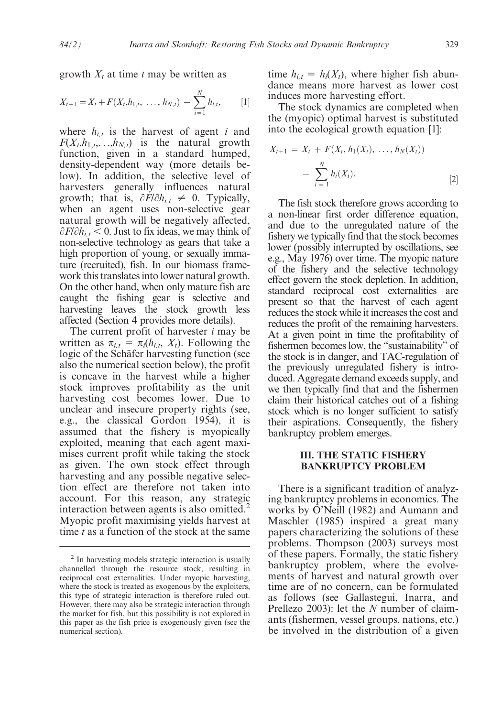growth  $X_t$  at time t may be written as

$$
X_{t+1} = X_t + F(X_t, h_{1,t}, \dots, h_{N,t}) - \sum_{i=1}^{N} h_{i,t},
$$
 [1]

where  $h_{i,t}$  is the harvest of agent i and  $F(X_t, h_{1,t}, \ldots, h_{N,t})$  is the natural growth function, given in a standard humped, density-dependent way (more details below). In addition, the selective level of harvesters generally influences natural growth; that is,  $\partial F/\partial h_{i,t} \neq 0$ . Typically, when an agent uses non-selective gear natural growth will be negatively affected,  $\partial F/\partial h_{i,t}$  < 0. Just to fix ideas, we may think of non-selective technology as gears that take a high proportion of young, or sexually immature (recruited), fish. In our biomass framework this translates into lower natural growth. On the other hand, when only mature fish are caught the fishing gear is selective and harvesting leaves the stock growth less affected (Section 4 provides more details).

The current profit of harvester i may be written as  $\pi_{i,t} = \pi_i(h_{i,t}, X_t)$ . Following the logic of the Schäfer harvesting function (see also the numerical section below), the profit is concave in the harvest while a higher stock improves profitability as the unit harvesting cost becomes lower. Due to unclear and insecure property rights (see, e.g., the classical Gordon 1954), it is assumed that the fishery is myopically exploited, meaning that each agent maximises current profit while taking the stock as given. The own stock effect through harvesting and any possible negative selection effect are therefore not taken into account. For this reason, any strategic interaction between agents is also omitted.<sup>2</sup> Myopic profit maximising yields harvest at time t as a function of the stock at the same time  $h_{i,t} = h_i(X_t)$ , where higher fish abundance means more harvest as lower cost induces more harvesting effort.

The stock dynamics are completed when the (myopic) optimal harvest is substituted into the ecological growth equation [1]:

$$
X_{t+1} = X_t + F(X_t, h_1(X_t), ..., h_N(X_t))
$$
  
- 
$$
\sum_{i=1}^N h_i(X_t).
$$
 [2]

The fish stock therefore grows according to a non-linear first order difference equation, and due to the unregulated nature of the fishery we typically find that the stock becomes lower (possibly interrupted by oscillations, see e.g., May 1976) over time. The myopic nature of the fishery and the selective technology effect govern the stock depletion. In addition, standard reciprocal cost externalities are present so that the harvest of each agent reduces the stock while it increases the cost and reduces the profit of the remaining harvesters. At a given point in time the profitability of fishermen becomes low, the ''sustainability'' of the stock is in danger, and TAC-regulation of the previously unregulated fishery is introduced. Aggregate demand exceeds supply, and we then typically find that and the fishermen claim their historical catches out of a fishing stock which is no longer sufficient to satisfy their aspirations. Consequently, the fishery bankruptcy problem emerges.

## III. THE STATIC FISHERY BANKRUPTCY PROBLEM

There is a significant tradition of analyzing bankruptcy problems in economics. The works by O'Neill (1982) and Aumann and Maschler (1985) inspired a great many papers characterizing the solutions of these problems. Thompson (2003) surveys most of these papers. Formally, the static fishery bankruptcy problem, where the evolvements of harvest and natural growth over time are of no concern, can be formulated as follows (see Gallastegui, Inarra, and Prellezo 2003): let the N number of claimants (fishermen, vessel groups, nations, etc.) be involved in the distribution of a given

 $2$  In harvesting models strategic interaction is usually channelled through the resource stock, resulting in reciprocal cost externalities. Under myopic harvesting, where the stock is treated as exogenous by the exploiters, this type of strategic interaction is therefore ruled out. However, there may also be strategic interaction through the market for fish, but this possibility is not explored in this paper as the fish price is exogenously given (see the numerical section).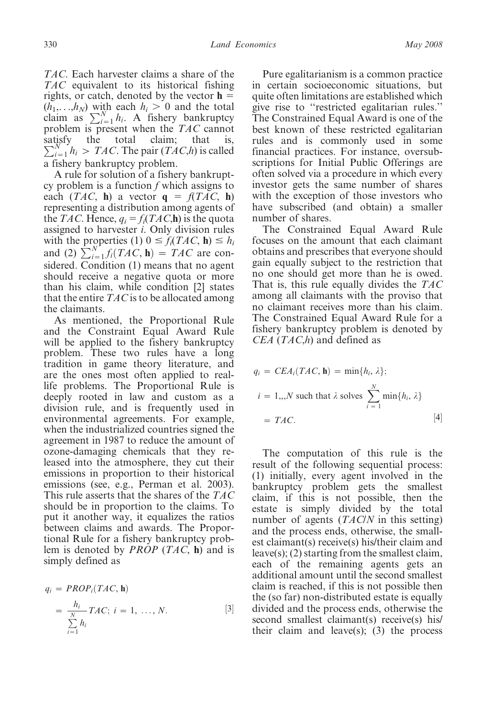TAC. Each harvester claims a share of the TAC equivalent to its historical fishing rights, or catch, denoted by the vector  $\mathbf{h} =$  $(h_1,...,h_N)$  with each  $h_i > 0$  and the total claim as  $\sum_{i=1}^{N} h_i$ . A fishery bankruptcy problem is present when the TAC cannot satisfy the total claim; that is,<br> $\sum_{i=1}^{N} h_i > TAC$ . The pair  $(TAC,h)$  is called a fishery bankruptcy problem.

A rule for solution of a fishery bankruptcy problem is a function  $f$  which assigns to each (TAC, h) a vector  $q = f(TAC, h)$ representing a distribution among agents of the TAC. Hence,  $q_i = f_i(TAC, \mathbf{h})$  is the quota assigned to harvester i. Only division rules with the properties (1)  $0 \le f_i(TAC, \mathbf{h}) \le h_i$ and (2)  $\sum_{i=1}^{N} f_i(TAC, h) = TAC$  are considered. Condition (1) means that no agent should receive a negative quota or more than his claim, while condition [2] states that the entire  $TAC$  is to be allocated among the claimants.

As mentioned, the Proportional Rule and the Constraint Equal Award Rule will be applied to the fishery bankruptcy problem. These two rules have a long tradition in game theory literature, and are the ones most often applied to reallife problems. The Proportional Rule is deeply rooted in law and custom as a division rule, and is frequently used in environmental agreements. For example, when the industrialized countries signed the agreement in 1987 to reduce the amount of ozone-damaging chemicals that they released into the atmosphere, they cut their emissions in proportion to their historical emissions (see, e.g., Perman et al. 2003). This rule asserts that the shares of the TAC should be in proportion to the claims. To put it another way, it equalizes the ratios between claims and awards. The Proportional Rule for a fishery bankruptcy problem is denoted by *PROP*  $(TAC, h)$  and is simply defined as

$$
q_i = \text{PROP}_i(\text{TAC}, \mathbf{h})
$$
  
= 
$$
\frac{h_i}{\sum\limits_{i=1}^N h_i} \text{TAC}; i = 1, ..., N.
$$
 [3]

Pure egalitarianism is a common practice in certain socioeconomic situations, but quite often limitations are established which give rise to ''restricted egalitarian rules.'' The Constrained Equal Award is one of the best known of these restricted egalitarian rules and is commonly used in some financial practices. For instance, oversubscriptions for Initial Public Offerings are often solved via a procedure in which every investor gets the same number of shares with the exception of those investors who have subscribed (and obtain) a smaller number of shares.

The Constrained Equal Award Rule focuses on the amount that each claimant obtains and prescribes that everyone should gain equally subject to the restriction that no one should get more than he is owed. That is, this rule equally divides the TAC among all claimants with the proviso that no claimant receives more than his claim. The Constrained Equal Award Rule for a fishery bankruptcy problem is denoted by  $CEA$  (TAC,h) and defined as

$$
q_i = CEA_i(TAC, \mathbf{h}) = \min\{h_i, \lambda\};
$$
  
\n
$$
i = 1, N \text{ such that } \lambda \text{ solves } \sum_{i=1}^{N} \min\{h_i, \lambda\}
$$
  
\n
$$
= TAC.
$$
 [4]

The computation of this rule is the result of the following sequential process: (1) initially, every agent involved in the bankruptcy problem gets the smallest claim, if this is not possible, then the estate is simply divided by the total number of agents  $(TAC/N)$  in this setting) and the process ends, otherwise, the smallest claimant(s) receive(s) his/their claim and leave(s); (2) starting from the smallest claim, each of the remaining agents gets an additional amount until the second smallest claim is reached, if this is not possible then the (so far) non-distributed estate is equally divided and the process ends, otherwise the second smallest claimant(s) receive(s) his/ their claim and leave(s); (3) the process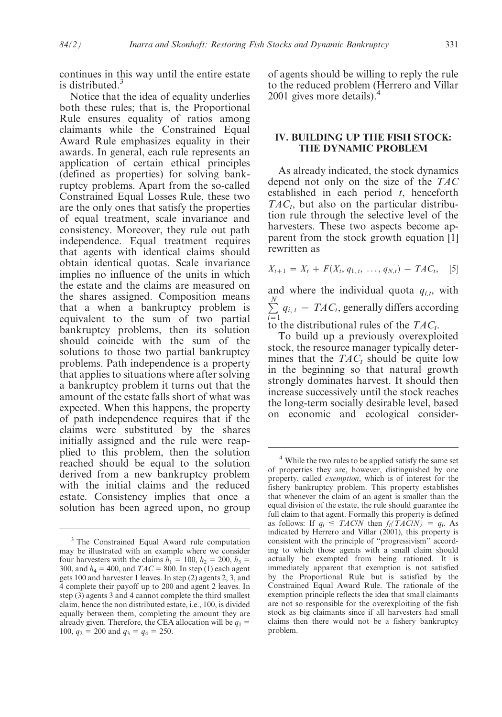continues in this way until the entire estate is distributed.<sup>3</sup>

Notice that the idea of equality underlies both these rules; that is, the Proportional Rule ensures equality of ratios among claimants while the Constrained Equal Award Rule emphasizes equality in their awards. In general, each rule represents an application of certain ethical principles (defined as properties) for solving bankruptcy problems. Apart from the so-called Constrained Equal Losses Rule, these two are the only ones that satisfy the properties of equal treatment, scale invariance and consistency. Moreover, they rule out path independence. Equal treatment requires that agents with identical claims should obtain identical quotas. Scale invariance implies no influence of the units in which the estate and the claims are measured on the shares assigned. Composition means that a when a bankruptcy problem is equivalent to the sum of two partial bankruptcy problems, then its solution should coincide with the sum of the solutions to those two partial bankruptcy problems. Path independence is a property that applies to situations where after solving a bankruptcy problem it turns out that the amount of the estate falls short of what was expected. When this happens, the property of path independence requires that if the claims were substituted by the shares initially assigned and the rule were reapplied to this problem, then the solution reached should be equal to the solution derived from a new bankruptcy problem with the initial claims and the reduced estate. Consistency implies that once a solution has been agreed upon, no group of agents should be willing to reply the rule to the reduced problem (Herrero and Villar  $2001$  gives more details). $\frac{4}{3}$ 

## IV. BUILDING UP THE FISH STOCK: THE DYNAMIC PROBLEM

As already indicated, the stock dynamics depend not only on the size of the TAC established in each period  $t$ , henceforth  $TAC<sub>t</sub>$ , but also on the particular distribution rule through the selective level of the harvesters. These two aspects become apparent from the stock growth equation [1] rewritten as

$$
X_{t+1} = X_t + F(X_t, q_{1,t}, \ldots, q_{N,t}) - TAC_t, \quad [5]
$$

and where the individual quota  $q_{i,t}$ , with  $\stackrel{N}{\leftarrow}$  $\sum_{i=1}^{n} q_{i, t} = TAC_t$ , generally differs according to the distributional rules of the  $TAC_t$ .

To build up a previously overexploited stock, the resource manager typically determines that the  $TAC_t$  should be quite low in the beginning so that natural growth strongly dominates harvest. It should then increase successively until the stock reaches the long-term socially desirable level, based on economic and ecological consider-

<sup>&</sup>lt;sup>3</sup> The Constrained Equal Award rule computation may be illustrated with an example where we consider four harvesters with the claims  $h_1 = 100$ ,  $h_2 = 200$ ,  $h_3 =$ 300, and  $h_4 = 400$ , and  $TAC = 800$ . In step (1) each agent gets 100 and harvester 1 leaves. In step (2) agents 2, 3, and 4 complete their payoff up to 200 and agent 2 leaves. In step (3) agents 3 and 4 cannot complete the third smallest claim, hence the non distributed estate, i.e., 100, is divided equally between them, completing the amount they are already given. Therefore, the CEA allocation will be  $q_1$  = 100,  $q_2 = 200$  and  $q_3 = q_4 = 250$ .

<sup>4</sup> While the two rules to be applied satisfy the same set of properties they are, however, distinguished by one property, called exemption, which is of interest for the fishery bankruptcy problem. This property establishes that whenever the claim of an agent is smaller than the equal division of the estate, the rule should guarantee the full claim to that agent. Formally this property is defined as follows: If  $q_i \leq TAC/N$  then  $f_i(TAC/N) = q_i$ . As indicated by Herrero and Villar (2001), this property is consistent with the principle of ''progressivism'' according to which those agents with a small claim should actually be exempted from being rationed. It is immediately apparent that exemption is not satisfied by the Proportional Rule but is satisfied by the Constrained Equal Award Rule. The rationale of the exemption principle reflects the idea that small claimants are not so responsible for the overexploiting of the fish stock as big claimants since if all harvesters had small claims then there would not be a fishery bankruptcy problem.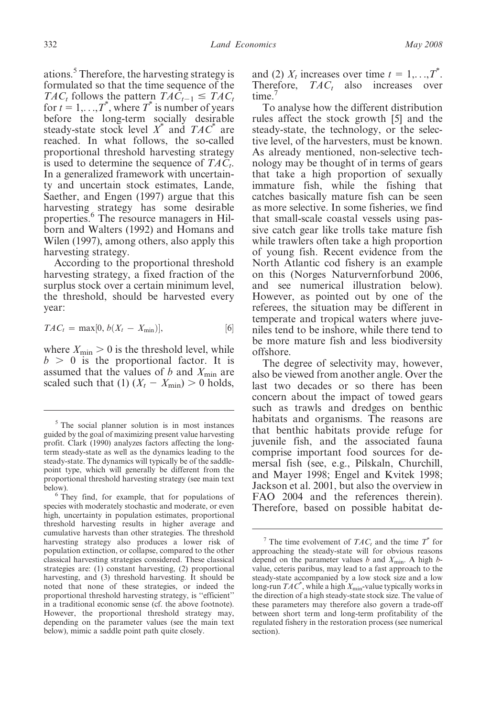ations.<sup>5</sup> Therefore, the harvesting strategy is formulated so that the time sequence of the TAC<sub>t</sub> follows the pattern  $TAC_{t-1} \leq TAC_t$ for  $t = 1, \ldots, T^*$ , where  $T^*$  is number of years before the long-term socially desirable steady-state stock level  $X^*$  and  $TAC^*$  are reached. In what follows, the so-called proportional threshold harvesting strategy is used to determine the sequence of  $TAC_t$ . In a generalized framework with uncertainty and uncertain stock estimates, Lande, Saether, and Engen (1997) argue that this harvesting strategy has some desirable properties.6 The resource managers in Hilborn and Walters (1992) and Homans and Wilen (1997), among others, also apply this harvesting strategy.

According to the proportional threshold harvesting strategy, a fixed fraction of the surplus stock over a certain minimum level, the threshold, should be harvested every year:

$$
TAC_t = \max[0, b(X_t - X_{\min})], \qquad [6]
$$

where  $X_{\text{min}} > 0$  is the threshold level, while  $b > 0$  is the proportional factor. It is assumed that the values of b and  $X_{\text{min}}$  are scaled such that (1)  $(X_t - X_{\min}) > 0$  holds,

and (2)  $X_t$  increases over time  $t = 1, \ldots, T^*$ . Therefore,  $TAC_t$  also increases over time.

To analyse how the different distribution rules affect the stock growth [5] and the steady-state, the technology, or the selective level, of the harvesters, must be known. As already mentioned, non-selective technology may be thought of in terms of gears that take a high proportion of sexually immature fish, while the fishing that catches basically mature fish can be seen as more selective. In some fisheries, we find that small-scale coastal vessels using passive catch gear like trolls take mature fish while trawlers often take a high proportion of young fish. Recent evidence from the North Atlantic cod fishery is an example on this (Norges Naturvernforbund 2006, and see numerical illustration below). However, as pointed out by one of the referees, the situation may be different in temperate and tropical waters where juveniles tend to be inshore, while there tend to be more mature fish and less biodiversity offshore.

The degree of selectivity may, however, also be viewed from another angle. Over the last two decades or so there has been concern about the impact of towed gears such as trawls and dredges on benthic habitats and organisms. The reasons are that benthic habitats provide refuge for juvenile fish, and the associated fauna comprise important food sources for demersal fish (see, e.g., Pilskaln, Churchill, and Mayer 1998; Engel and Kvitek 1998; Jackson et al. 2001, but also the overview in FAO 2004 and the references therein). Therefore, based on possible habitat de-

 $5$  The social planner solution is in most instances guided by the goal of maximizing present value harvesting profit. Clark (1990) analyzes factors affecting the longterm steady-state as well as the dynamics leading to the steady-state. The dynamics will typically be of the saddlepoint type, which will generally be different from the proportional threshold harvesting strategy (see main text

below).<br><sup>6</sup> They find, for example, that for populations of species with moderately stochastic and moderate, or even high, uncertainty in population estimates, proportional threshold harvesting results in higher average and cumulative harvests than other strategies. The threshold harvesting strategy also produces a lower risk of population extinction, or collapse, compared to the other classical harvesting strategies considered. These classical strategies are: (1) constant harvesting, (2) proportional harvesting, and (3) threshold harvesting. It should be noted that none of these strategies, or indeed the proportional threshold harvesting strategy, is ''efficient'' in a traditional economic sense (cf. the above footnote). However, the proportional threshold strategy may, depending on the parameter values (see the main text below), mimic a saddle point path quite closely.

<sup>&</sup>lt;sup>7</sup> The time evolvement of  $TAC_t$  and the time  $T^*$  for approaching the steady-state will for obvious reasons depend on the parameter values  $b$  and  $X_{\text{min}}$ . A high  $b$ value, ceteris paribus, may lead to a fast approach to the steady-state accompanied by a low stock size and a low long-run  $TAC^*$ , while a high  $X_{\text{min}}$ -value typically works in the direction of a high steady-state stock size. The value of these parameters may therefore also govern a trade-off between short term and long-term profitability of the regulated fishery in the restoration process (see numerical section).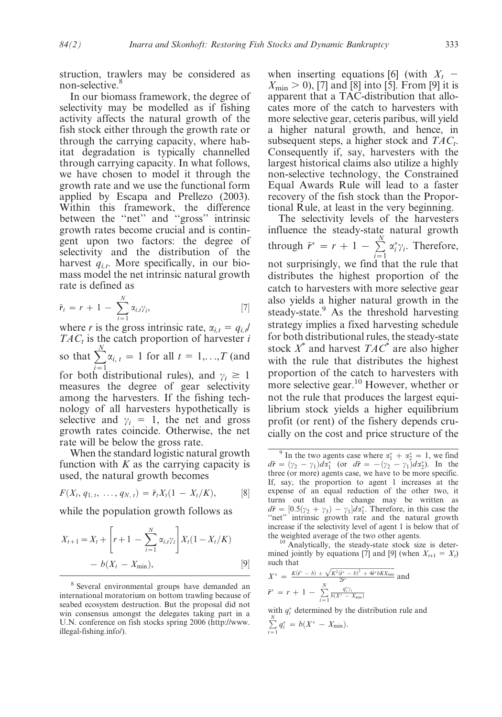struction, trawlers may be considered as non-selective. $\delta$ 

In our biomass framework, the degree of selectivity may be modelled as if fishing activity affects the natural growth of the fish stock either through the growth rate or through the carrying capacity, where habitat degradation is typically channelled through carrying capacity. In what follows, we have chosen to model it through the growth rate and we use the functional form applied by Escapa and Prellezo (2003). Within this framework, the difference between the "net" and "gross" intrinsic growth rates become crucial and is contingent upon two factors: the degree of selectivity and the distribution of the harvest  $q_{i,t}$ . More specifically, in our biomass model the net intrinsic natural growth rate is defined as

$$
\tilde{r}_t = r + 1 - \sum_{i=1}^{N} \alpha_{i,t} \gamma_i, \tag{7}
$$

where r is the gross intrinsic rate,  $\alpha_{i,t} = q_{i,t}/t$  $TAC<sub>t</sub>$  is the catch proportion of harvester i so that  $\sum_{i=1}^{N} \alpha_{i,t} = 1$  for all  $t = 1,...,T$  (and for both distributional rules), and  $\gamma_i \ge 1$ measures the degree of gear selectivity among the harvesters. If the fishing technology of all harvesters hypothetically is selective and  $\gamma_i = 1$ , the net and gross growth rates coincide. Otherwise, the net rate will be below the gross rate.

When the standard logistic natural growth function with  $K$  as the carrying capacity is used, the natural growth becomes

$$
F(X_t, q_{1, t}, \ldots, q_{N, t}) = \tilde{r}_t X_t (1 - X_t/K), \quad [8]
$$

while the population growth follows as

$$
X_{t+1} = X_t + \left[r + 1 - \sum_{i=1}^{N} \alpha_{i,t} \gamma_i\right] X_t (1 - X_t/K)
$$
  
-  $b(X_t - X_{\min}),$  [9]

<sup>8</sup> Several environmental groups have demanded an international moratorium on bottom trawling because of seabed ecosystem destruction. But the proposal did not win consensus amongst the delegates taking part in a U.N. conference on fish stocks spring 2006 (http://www. illegal-fishing.info/).

when inserting equations [6] (with  $X_t$  –  $X_{\text{min}} > 0$ , [7] and [8] into [5]. From [9] it is apparent that a TAC-distribution that allocates more of the catch to harvesters with more selective gear, ceteris paribus, will yield a higher natural growth, and hence, in subsequent steps, a higher stock and  $TAC_t$ . Consequently if, say, harvesters with the largest historical claims also utilize a highly non-selective technology, the Constrained Equal Awards Rule will lead to a faster recovery of the fish stock than the Proportional Rule, at least in the very beginning.

The selectivity levels of the harvesters influence the steady-state natural growth through  $\tilde{r}^* = r + 1 - \sum_{r=1}^{N}$  $i=1$  $\alpha_i^* \gamma_i$ . Therefore, not surprisingly, we find that the rule that distributes the highest proportion of the catch to harvesters with more selective gear also yields a higher natural growth in the steady-state.<sup>9</sup> As the threshold harvesting strategy implies a fixed harvesting schedule for both distributional rules, the steady-state stock  $X^*$  and harvest  $TAC^*$  are also higher with the rule that distributes the highest proportion of the catch to harvesters with more selective gear.<sup>10</sup> However, whether or not the rule that produces the largest equilibrium stock yields a higher equilibrium profit (or rent) of the fishery depends crucially on the cost and price structure of the

SET that

\n
$$
X^* = \frac{K(\vec{r}^* - b) + \sqrt{K^2(\vec{r}^* - b)^2 + 4\vec{r}^*bK X_{\text{min}}}}{2\vec{r}^*}
$$
\nand

\n
$$
\tilde{r}^* = r + 1 - \sum_{i=1}^N \frac{q_i^* \gamma_i}{b(X^* - X_{\text{min}})}
$$

with  $q_i^*$  determined by the distribution rule and  $\stackrel{N}{\leftarrow}$  $\sum_{i=1}^{N} q_i^* = b(X^* - X_{\min}).$ 

<sup>&</sup>lt;sup>9</sup> In the two agents case where  $\alpha_1^* + \alpha_2^* = 1$ , we find  $d\tilde{r} = (\gamma_2 - \gamma_1) d\alpha_1^*$  (or  $d\tilde{r} = -(\gamma_2 - \gamma_1) d\alpha_2^*$ ). In the three (or more) agents case, we have to be more specific. If, say, the proportion to agent 1 increases at the expense of an equal reduction of the other two, it turns out that the change may be written as  $d\tilde{r} = [0.5(\gamma_2 + \gamma_3) - \gamma_1]d\alpha_1^*$ . Therefore, in this case the "net" intrinsic growth rate and the natural growth increase if the selectivity level of agent 1 is below that of the weighted average of the two other agents.

 $10$  Analytically, the steady-state stock size is determined jointly by equations [7] and [9] (when  $X_{t+1} = X_t$ ) such that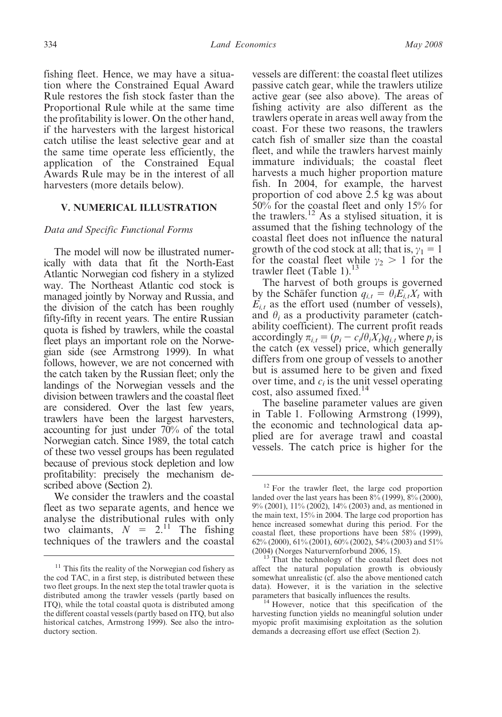fishing fleet. Hence, we may have a situation where the Constrained Equal Award Rule restores the fish stock faster than the Proportional Rule while at the same time the profitability is lower. On the other hand, if the harvesters with the largest historical catch utilise the least selective gear and at the same time operate less efficiently, the application of the Constrained Equal Awards Rule may be in the interest of all harvesters (more details below).

## V. NUMERICAL ILLUSTRATION

#### Data and Specific Functional Forms

The model will now be illustrated numerically with data that fit the North-East Atlantic Norwegian cod fishery in a stylized way. The Northeast Atlantic cod stock is managed jointly by Norway and Russia, and the division of the catch has been roughly fifty-fifty in recent years. The entire Russian quota is fished by trawlers, while the coastal fleet plays an important role on the Norwegian side (see Armstrong 1999). In what follows, however, we are not concerned with the catch taken by the Russian fleet; only the landings of the Norwegian vessels and the division between trawlers and the coastal fleet are considered. Over the last few years, trawlers have been the largest harvesters, accounting for just under 70% of the total Norwegian catch. Since 1989, the total catch of these two vessel groups has been regulated because of previous stock depletion and low profitability: precisely the mechanism described above (Section 2).

We consider the trawlers and the coastal fleet as two separate agents, and hence we analyse the distributional rules with only two claimants,  $N = 2$ .<sup>11</sup> The fishing techniques of the trawlers and the coastal

vessels are different: the coastal fleet utilizes passive catch gear, while the trawlers utilize active gear (see also above). The areas of fishing activity are also different as the trawlers operate in areas well away from the coast. For these two reasons, the trawlers catch fish of smaller size than the coastal fleet, and while the trawlers harvest mainly immature individuals; the coastal fleet harvests a much higher proportion mature fish. In 2004, for example, the harvest proportion of cod above 2.5 kg was about 50% for the coastal fleet and only 15% for the trawlers.<sup>12</sup> As a stylised situation, it is assumed that the fishing technology of the coastal fleet does not influence the natural growth of the cod stock at all; that is,  $\gamma_1 = 1$ for the coastal fleet while  $\gamma_2 > 1$  for the trawler fleet (Table 1). $^{13}$ 

The harvest of both groups is governed by the Schäfer function  $q_{i,t} = \theta_i E_{i,t} X_t$  with  $E_{i,t}$  as the effort used (number of vessels), and  $\theta_i$  as a productivity parameter (catchability coefficient). The current profit reads accordingly  $\pi_{i,t} = (p_i - c_i/\theta_i X_t)q_{i,t}$  where  $p_i$  is the catch (ex vessel) price, which generally differs from one group of vessels to another but is assumed here to be given and fixed over time, and  $c_i$  is the unit vessel operating cost, also assumed fixed.<sup>14</sup>

The baseline parameter values are given in Table 1. Following Armstrong (1999), the economic and technological data applied are for average trawl and coastal vessels. The catch price is higher for the

 $11$  This fits the reality of the Norwegian cod fishery as the cod TAC, in a first step, is distributed between these two fleet groups. In the next step the total trawler quota is distributed among the trawler vessels (partly based on ITQ), while the total coastal quota is distributed among the different coastal vessels (partly based on ITQ, but also historical catches, Armstrong 1999). See also the introductory section.

<sup>&</sup>lt;sup>12</sup> For the trawler fleet, the large cod proportion landed over the last years has been 8% (1999), 8% (2000), 9% (2001), 11% (2002), 14% (2003) and, as mentioned in the main text, 15% in 2004. The large cod proportion has hence increased somewhat during this period. For the coastal fleet, these proportions have been 58% (1999), 62% (2000), 61% (2001), 60% (2002), 54% (2003) and 51%

<sup>&</sup>lt;sup>13</sup> That the technology of the coastal fleet does not affect the natural population growth is obviously somewhat unrealistic (cf. also the above mentioned catch data). However, it is the variation in the selective parameters that basically influences the results.

<sup>&</sup>lt;sup>14</sup> However, notice that this specification of the harvesting function yields no meaningful solution under myopic profit maximising exploitation as the solution demands a decreasing effort use effect (Section 2).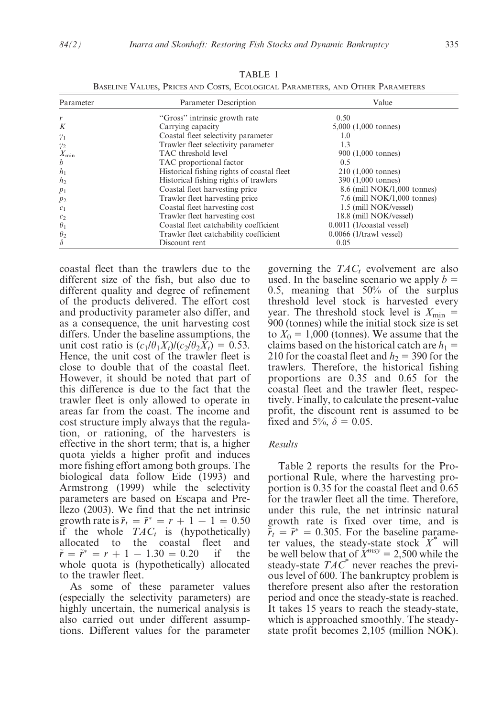| Parameter        | Parameter Description                      | Value                         |  |
|------------------|--------------------------------------------|-------------------------------|--|
| r                | "Gross" intrinsic growth rate              | 0.50                          |  |
| K                | Carrying capacity                          | $5,000$ $(1,000$ tonnes)      |  |
| $\gamma_1$       | Coastal fleet selectivity parameter        | 1.0                           |  |
| $\gamma_2$       | Trawler fleet selectivity parameter        | 1.3                           |  |
| $X_{\min}$       | TAC threshold level                        | 900 (1,000 tonnes)            |  |
| $\boldsymbol{b}$ | TAC proportional factor                    | 0.5                           |  |
| h <sub>1</sub>   | Historical fishing rights of coastal fleet | $210(1,000 \text{ tonnes})$   |  |
| h <sub>2</sub>   | Historical fishing rights of trawlers      | 390 (1,000 tonnes)            |  |
| $p_1$            | Coastal fleet harvesting price             | 8.6 (mill NOK/1,000 tonnes)   |  |
| $p_2$            | Trawler fleet harvesting price             | $7.6$ (mill NOK/1,000 tonnes) |  |
| c <sub>1</sub>   | Coastal fleet harvesting cost              | 1.5 (mill NOK/vessel)         |  |
| c <sub>2</sub>   | Trawler fleet harvesting cost              | 18.8 (mill NOK/vessel)        |  |
| $\theta_1$       | Coastal fleet catchability coefficient     | $0.0011$ (1/coastal vessel)   |  |
| $\theta_2$       | Trawler fleet catchability coefficient     | $0.0066$ (1/trawl vessel)     |  |
| $\delta$         | Discount rent                              | 0.05                          |  |

TABLE 1 BASELINE VALUES, PRICES AND COSTS, ECOLOGICAL PARAMETERS, AND OTHER PARAMETERS

coastal fleet than the trawlers due to the different size of the fish, but also due to different quality and degree of refinement of the products delivered. The effort cost and productivity parameter also differ, and as a consequence, the unit harvesting cost differs. Under the baseline assumptions, the unit cost ratio is  $(c_1/\theta_1 X_t)/(c_2/\theta_2 X_t) = 0.53$ . Hence, the unit cost of the trawler fleet is close to double that of the coastal fleet. However, it should be noted that part of this difference is due to the fact that the trawler fleet is only allowed to operate in areas far from the coast. The income and cost structure imply always that the regulation, or rationing, of the harvesters is effective in the short term; that is, a higher quota yields a higher profit and induces more fishing effort among both groups. The biological data follow Eide (1993) and Armstrong (1999) while the selectivity parameters are based on Escapa and Prellezo (2003). We find that the net intrinsic growth rate is  $\tilde{r}_t = \tilde{r}^* = r + 1 - 1 = 0.50$ if the whole  $TAC_t$  is (hypothetically) allocated to the coastal fleet and allocated to the coastal fleet  $\tilde{r} = \tilde{r}^* = r + 1 - 1.30 = 0.20$  if the whole quota is (hypothetically) allocated to the trawler fleet.

As some of these parameter values (especially the selectivity parameters) are highly uncertain, the numerical analysis is also carried out under different assumptions. Different values for the parameter governing the  $TAC<sub>t</sub>$  evolvement are also used. In the baseline scenario we apply  $b =$ 0.5, meaning that 50% of the surplus threshold level stock is harvested every year. The threshold stock level is  $X_{\text{min}} =$ 900 (tonnes) while the initial stock size is set to  $X_0 = 1,000$  (tonnes). We assume that the claims based on the historical catch are  $h_1 =$ 210 for the coastal fleet and  $h_2 = 390$  for the trawlers. Therefore, the historical fishing proportions are 0.35 and 0.65 for the coastal fleet and the trawler fleet, respectively. Finally, to calculate the present-value profit, the discount rent is assumed to be fixed and 5%,  $\delta = 0.05$ .

#### Results

Table 2 reports the results for the Proportional Rule, where the harvesting proportion is 0.35 for the coastal fleet and 0.65 for the trawler fleet all the time. Therefore, under this rule, the net intrinsic natural growth rate is fixed over time, and is  $\tilde{r}_t = \tilde{r}^* = 0.305$ . For the baseline parameter values, the steady-state stock  $X^*$  will be well below that of  $\tilde{X}^{msy} = 2,500$  while the steady-state  $TAC^*$  never reaches the previous level of 600. The bankruptcy problem is therefore present also after the restoration period and once the steady-state is reached. It takes 15 years to reach the steady-state, which is approached smoothly. The steadystate profit becomes 2,105 (million NOK).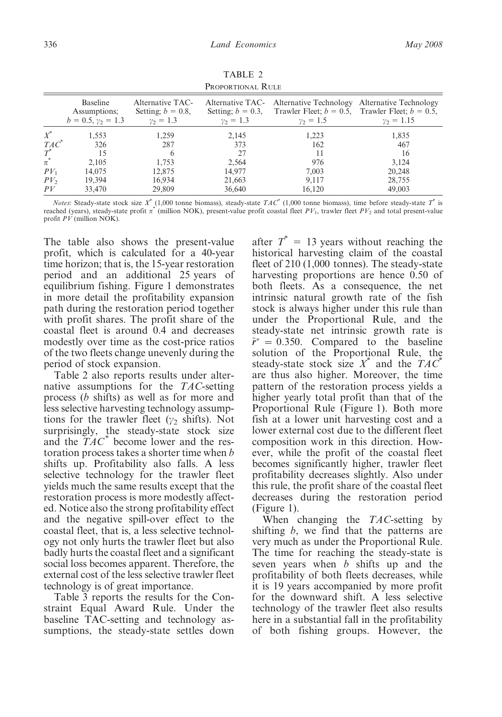| PROPORTIONAL RULE             |                                                       |                                                         |                                 |                                                                                                                                            |                           |  |  |
|-------------------------------|-------------------------------------------------------|---------------------------------------------------------|---------------------------------|--------------------------------------------------------------------------------------------------------------------------------------------|---------------------------|--|--|
|                               | Baseline<br>Assumptions;<br>$b = 0.5, \gamma_2 = 1.3$ | Alternative TAC-<br>Setting; $b = 0.8$ ,<br>$v_2 = 1.3$ | Alternative TAC-<br>$v_2 = 1.3$ | Alternative Technology Alternative Technology<br>Setting; $b = 0.3$ , Trawler Fleet; $b = 0.5$ , Trawler Fleet; $b = 0.5$ ,<br>$v_2 = 1.5$ | $\gamma_2 = 1.15$         |  |  |
| $\chi^*$<br>TAC<br>$T^*$      | 1,553<br>326<br>15                                    | 1,259<br>287<br><sub>(</sub>                            | 2,145<br>373                    | 1,223<br>162                                                                                                                               | 1,835<br>467<br>16        |  |  |
| $\pi^*$<br>$PV_1$<br>$PV_{2}$ | 2,105<br>14,075<br>19,394                             | 1,753<br>12,875<br>16,934                               | 2,564<br>14,977<br>21,663       | 976<br>7,003<br>9,117                                                                                                                      | 3,124<br>20,248<br>28,755 |  |  |
| PV                            | 33,470                                                | 29,809                                                  | 36,640                          | 16,120                                                                                                                                     | 49,003                    |  |  |

TABLE 2

*Notes*: Steady-state stock size X<sup>\*</sup> (1,000 tonne biomass), steady-state  $TAC^*$  (1,000 tonne biomass), time before steady-state  $T^*$  is reached (years), steady-state profit  $\pi^*$  (million NOK), present-value profit coastal fleet  $PV_1$ , trawler fleet  $PV_2$  and total present-value profit PV (million NOK).

The table also shows the present-value profit, which is calculated for a 40-year time horizon; that is, the 15-year restoration period and an additional 25 years of equilibrium fishing. Figure 1 demonstrates in more detail the profitability expansion path during the restoration period together with profit shares. The profit share of the coastal fleet is around 0.4 and decreases modestly over time as the cost-price ratios of the two fleets change unevenly during the period of stock expansion.

Table 2 also reports results under alternative assumptions for the TAC-setting process (b shifts) as well as for more and less selective harvesting technology assumptions for the trawler fleet ( $\gamma_2$  shifts). Not surprisingly, the steady-state stock size and the  $TAC^*$  become lower and the restoration process takes a shorter time when b shifts up. Profitability also falls. A less selective technology for the trawler fleet yields much the same results except that the restoration process is more modestly affected. Notice also the strong profitability effect and the negative spill-over effect to the coastal fleet, that is, a less selective technology not only hurts the trawler fleet but also badly hurts the coastal fleet and a significant social loss becomes apparent. Therefore, the external cost of the less selective trawler fleet technology is of great importance.

Table 3 reports the results for the Constraint Equal Award Rule. Under the baseline TAC-setting and technology assumptions, the steady-state settles down

after  $T^* = 13$  years without reaching the historical harvesting claim of the coastal fleet of 210 (1,000 tonnes). The steady-state harvesting proportions are hence 0.50 of both fleets. As a consequence, the net intrinsic natural growth rate of the fish stock is always higher under this rule than under the Proportional Rule, and the steady-state net intrinsic growth rate is  $\tilde{r}^* = 0.350$ . Compared to the baseline solution of the Proportional Rule, the steady-state stock size X\* and the  $TAC^*$ are thus also higher. Moreover, the time pattern of the restoration process yields a higher yearly total profit than that of the Proportional Rule (Figure 1). Both more fish at a lower unit harvesting cost and a lower external cost due to the different fleet composition work in this direction. However, while the profit of the coastal fleet becomes significantly higher, trawler fleet profitability decreases slightly. Also under this rule, the profit share of the coastal fleet decreases during the restoration period (Figure 1).

When changing the TAC-setting by shifting  $b$ , we find that the patterns are very much as under the Proportional Rule. The time for reaching the steady-state is seven years when  $b$  shifts up and the profitability of both fleets decreases, while it is 19 years accompanied by more profit for the downward shift. A less selective technology of the trawler fleet also results here in a substantial fall in the profitability of both fishing groups. However, the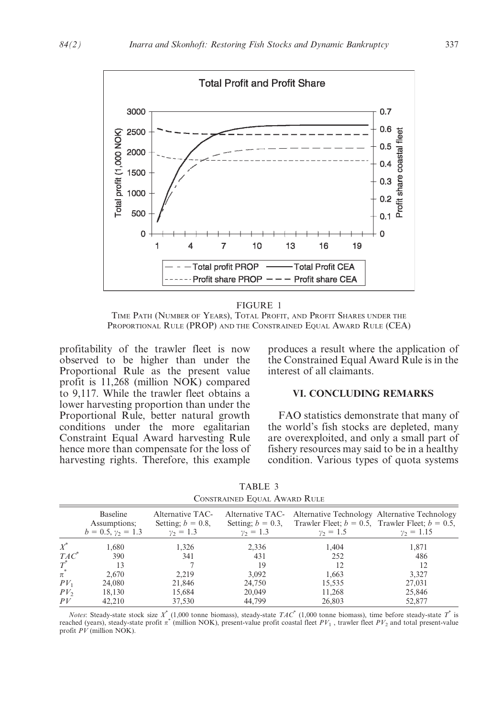

FIGURE 1

TIME PATH (NUMBER OF YEARS), TOTAL PROFIT, AND PROFIT SHARES UNDER THE PROPORTIONAL RULE (PROP) AND THE CONSTRAINED EQUAL AWARD RULE (CEA)

profitability of the trawler fleet is now observed to be higher than under the Proportional Rule as the present value profit is 11,268 (million NOK) compared to 9,117. While the trawler fleet obtains a lower harvesting proportion than under the Proportional Rule, better natural growth conditions under the more egalitarian Constraint Equal Award harvesting Rule hence more than compensate for the loss of harvesting rights. Therefore, this example produces a result where the application of the Constrained Equal Award Rule is in the interest of all claimants.

# VI. CONCLUDING REMARKS

FAO statistics demonstrate that many of the world's fish stocks are depleted, many are overexploited, and only a small part of fishery resources may said to be in a healthy condition. Various types of quota systems

TABLE 3 CONSTRAINED EQUAL AWARD RULE

|                    | Baseline<br>Assumptions;<br>$b = 0.5, \gamma_2 = 1.3$ | Alternative TAC-<br>Setting; $b = 0.8$ ,<br>$\gamma_2 = 1.3$ | $v_2 = 1.3$  | Alternative TAC- Alternative Technology Alternative Technology<br>Setting; $b = 0.3$ , Trawler Fleet; $b = 0.5$ , Trawler Fleet; $b = 0.5$ ,<br>$\gamma_2 = 1.5$ | $\gamma_2 = 1.15$ |  |  |
|--------------------|-------------------------------------------------------|--------------------------------------------------------------|--------------|------------------------------------------------------------------------------------------------------------------------------------------------------------------|-------------------|--|--|
| $X^*$<br>$TAC^*$   | 1,680<br>390                                          | 1,326<br>341                                                 | 2,336<br>431 | 1,404<br>252                                                                                                                                                     | 1,871<br>486      |  |  |
| $T^*$              |                                                       |                                                              | 19           | 12                                                                                                                                                               | 12                |  |  |
| $\pi$ <sup>-</sup> | 2.670                                                 | 2,219                                                        | 3,092        | 1,663                                                                                                                                                            | 3,327             |  |  |
| $PV_1$             | 24,080                                                | 21,846                                                       | 24,750       | 15,535                                                                                                                                                           | 27,031            |  |  |
| PV <sub>2</sub>    | 18,130                                                | 15,684                                                       | 20,049       | 11,268                                                                                                                                                           | 25,846            |  |  |
| PV                 | 42.210                                                | 37,530                                                       | 44,799       | 26,803                                                                                                                                                           | 52,877            |  |  |

*Notes*: Steady-state stock size  $X^*$  (1,000 tonne biomass), steady-state  $TAC^*$  (1,000 tonne biomass), time before steady-state  $T^*$  is reached (years), steady-state profit  $\pi^*$  (million NOK), present-value profit coastal fleet  $PV_1$ , trawler fleet  $PV_2$  and total present-value profit PV (million NOK).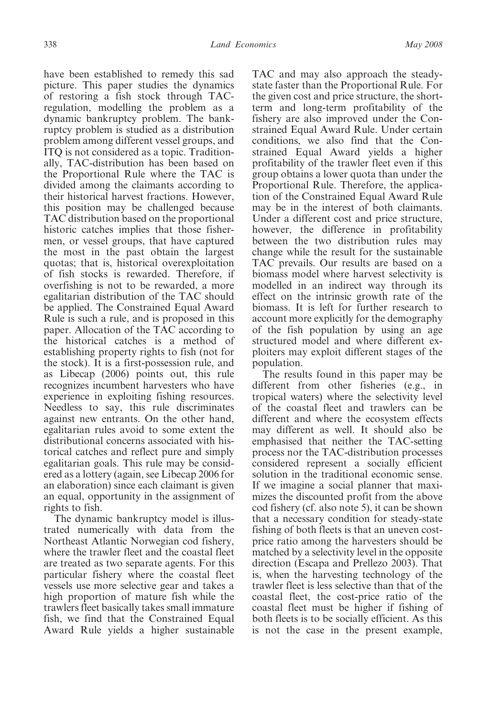have been established to remedy this sad picture. This paper studies the dynamics of restoring a fish stock through TACregulation, modelling the problem as a dynamic bankruptcy problem. The bankruptcy problem is studied as a distribution problem among different vessel groups, and ITQ is not considered as a topic. Traditionally, TAC-distribution has been based on the Proportional Rule where the TAC is divided among the claimants according to their historical harvest fractions. However, this position may be challenged because TAC distribution based on the proportional historic catches implies that those fishermen, or vessel groups, that have captured the most in the past obtain the largest quotas; that is, historical overexploitation of fish stocks is rewarded. Therefore, if overfishing is not to be rewarded, a more egalitarian distribution of the TAC should be applied. The Constrained Equal Award Rule is such a rule, and is proposed in this paper. Allocation of the TAC according to the historical catches is a method of establishing property rights to fish (not for the stock). It is a first-possession rule, and as Libecap (2006) points out, this rule recognizes incumbent harvesters who have experience in exploiting fishing resources. Needless to say, this rule discriminates against new entrants. On the other hand, egalitarian rules avoid to some extent the distributional concerns associated with historical catches and reflect pure and simply egalitarian goals. This rule may be considered as a lottery (again, see Libecap 2006 for an elaboration) since each claimant is given an equal, opportunity in the assignment of rights to fish.

The dynamic bankruptcy model is illustrated numerically with data from the Northeast Atlantic Norwegian cod fishery, where the trawler fleet and the coastal fleet are treated as two separate agents. For this particular fishery where the coastal fleet vessels use more selective gear and takes a high proportion of mature fish while the trawlers fleet basically takes small immature fish, we find that the Constrained Equal Award Rule yields a higher sustainable TAC and may also approach the steadystate faster than the Proportional Rule. For the given cost and price structure, the shortterm and long-term profitability of the fishery are also improved under the Constrained Equal Award Rule. Under certain conditions, we also find that the Constrained Equal Award yields a higher profitability of the trawler fleet even if this group obtains a lower quota than under the Proportional Rule. Therefore, the application of the Constrained Equal Award Rule may be in the interest of both claimants. Under a different cost and price structure, however, the difference in profitability between the two distribution rules may change while the result for the sustainable TAC prevails. Our results are based on a biomass model where harvest selectivity is modelled in an indirect way through its effect on the intrinsic growth rate of the biomass. It is left for further research to account more explicitly for the demography of the fish population by using an age structured model and where different exploiters may exploit different stages of the population.

The results found in this paper may be different from other fisheries (e.g., in tropical waters) where the selectivity level of the coastal fleet and trawlers can be different and where the ecosystem effects may different as well. It should also be emphasised that neither the TAC-setting process nor the TAC-distribution processes considered represent a socially efficient solution in the traditional economic sense. If we imagine a social planner that maximizes the discounted profit from the above cod fishery (cf. also note 5), it can be shown that a necessary condition for steady-state fishing of both fleets is that an uneven costprice ratio among the harvesters should be matched by a selectivity level in the opposite direction (Escapa and Prellezo 2003). That is, when the harvesting technology of the trawler fleet is less selective than that of the coastal fleet, the cost-price ratio of the coastal fleet must be higher if fishing of both fleets is to be socially efficient. As this is not the case in the present example,